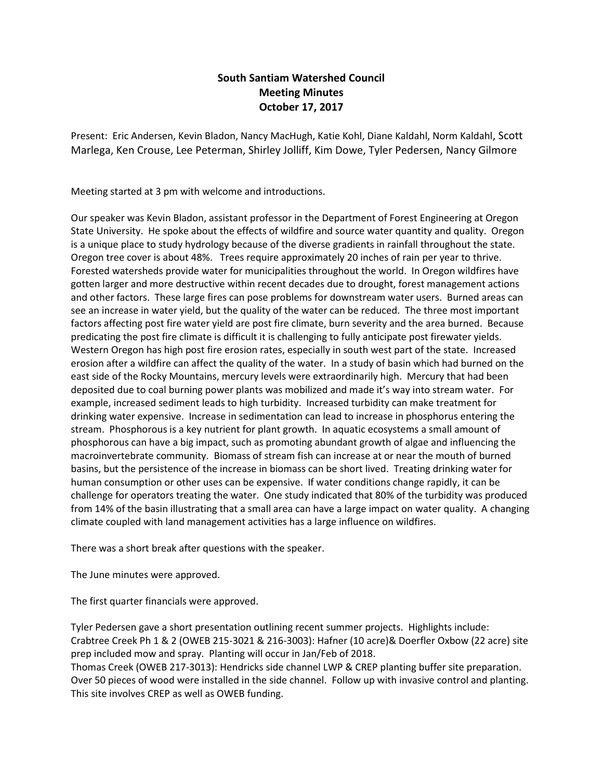## **South Santiam Watershed Council Meeting Minutes October 17, 2017**

Present: Eric Andersen, Kevin Bladon, Nancy MacHugh, Katie Kohl, Diane Kaldahl, Norm Kaldahl, Scott Marlega, Ken Crouse, Lee Peterman, Shirley Jolliff, Kim Dowe, Tyler Pedersen, Nancy Gilmore

Meeting started at 3 pm with welcome and introductions.

Our speaker was Kevin Bladon, assistant professor in the Department of Forest Engineering at Oregon State University. He spoke about the effects of wildfire and source water quantity and quality. Oregon is a unique place to study hydrology because of the diverse gradients in rainfall throughout the state. Oregon tree cover is about 48%. Trees require approximately 20 inches of rain per year to thrive. Forested watersheds provide water for municipalities throughout the world. In Oregon wildfires have gotten larger and more destructive within recent decades due to drought, forest management actions and other factors. These large fires can pose problems for downstream water users. Burned areas can see an increase in water yield, but the quality of the water can be reduced. The three most important factors affecting post fire water yield are post fire climate, burn severity and the area burned. Because predicating the post fire climate is difficult it is challenging to fully anticipate post firewater yields. Western Oregon has high post fire erosion rates, especially in south west part of the state. Increased erosion after a wildfire can affect the quality of the water. In a study of basin which had burned on the east side of the Rocky Mountains, mercury levels were extraordinarily high. Mercury that had been deposited due to coal burning power plants was mobilized and made it's way into stream water. For example, increased sediment leads to high turbidity. Increased turbidity can make treatment for drinking water expensive. Increase in sedimentation can lead to increase in phosphorus entering the stream. Phosphorous is a key nutrient for plant growth. In aquatic ecosystems a small amount of phosphorous can have a big impact, such as promoting abundant growth of algae and influencing the macroinvertebrate community. Biomass of stream fish can increase at or near the mouth of burned basins, but the persistence of the increase in biomass can be short lived. Treating drinking water for human consumption or other uses can be expensive. If water conditions change rapidly, it can be challenge for operators treating the water. One study indicated that 80% of the turbidity was produced from 14% of the basin illustrating that a small area can have a large impact on water quality. A changing climate coupled with land management activities has a large influence on wildfires.

There was a short break after questions with the speaker.

The June minutes were approved.

The first quarter financials were approved.

Tyler Pedersen gave a short presentation outlining recent summer projects. Highlights include: Crabtree Creek Ph 1 & 2 (OWEB 215-3021 & 216-3003): Hafner (10 acre)& Doerfler Oxbow (22 acre) site prep included mow and spray. Planting will occur in Jan/Feb of 2018.

Thomas Creek (OWEB 217-3013): Hendricks side channel LWP & CREP planting buffer site preparation. Over 50 pieces of wood were installed in the side channel. Follow up with invasive control and planting. This site involves CREP as well as OWEB funding.